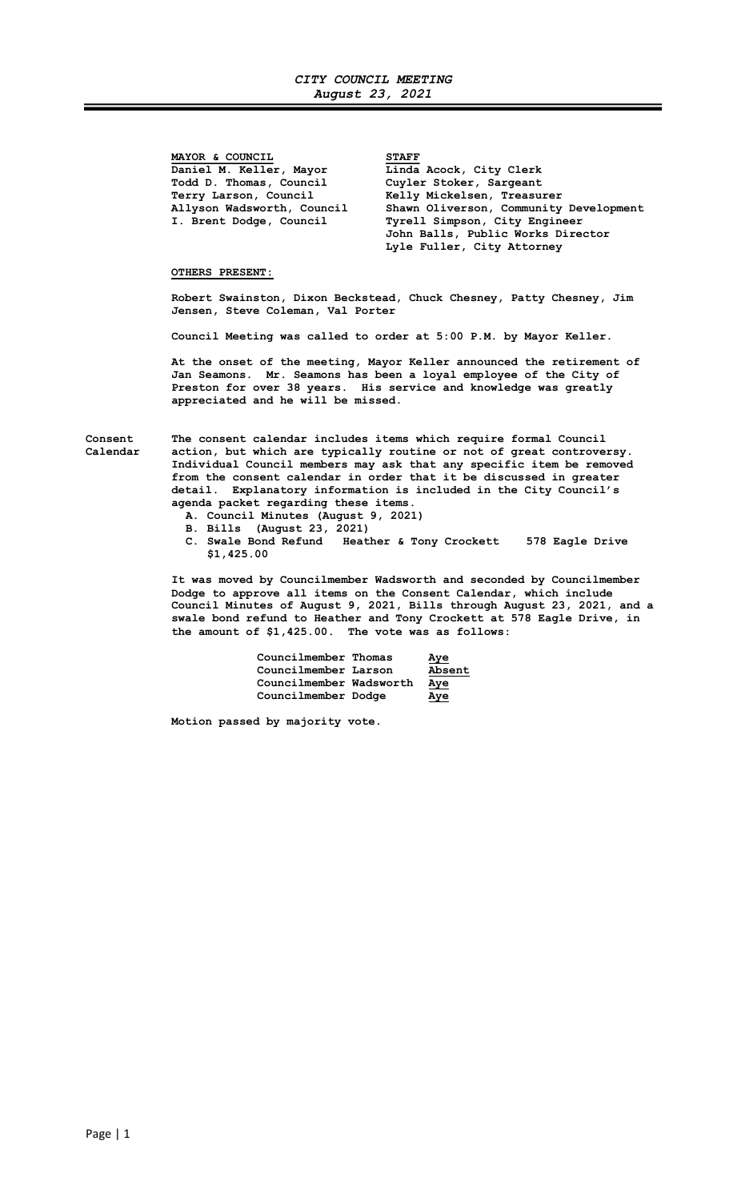MAYOR & COUNCIL<br>Daniel M. Keller, Mayor Linda Todd D. Thomas, Council Cuyler Stoker, Sargeant<br>Terry Larson, Council Kelly Mickelsen, Treasu:

Linda Acock, City Clerk Terry Larson, Council Melly Mickelsen, Treasurer<br>Allyson Wadsworth, Council Shawn Oliverson, Community Allyson Wadsworth, Council Shawn Oliverson, Community Development I. Brent Dodge, Council Tyrell Simpson, City Engineer John Balls, Public Works Director Lyle Fuller, City Attorney

## OTHERS PRESENT:

Robert Swainston, Dixon Beckstead, Chuck Chesney, Patty Chesney, Jim Jensen, Steve Coleman, Val Porter

Council Meeting was called to order at 5:00 P.M. by Mayor Keller.

 At the onset of the meeting, Mayor Keller announced the retirement of Jan Seamons. Mr. Seamons has been a loyal employee of the City of Preston for over 38 years. His service and knowledge was greatly appreciated and he will be missed.

Consent The consent calendar includes items which require formal Council Calendar action, but which are typically routine or not of great controversy. Individual Council members may ask that any specific item be removed from the consent calendar in order that it be discussed in greater detail. Explanatory information is included in the City Council's agenda packet regarding these items.

- A. Council Minutes (August 9, 2021)
- B. Bills (August 23, 2021)
- C. Swale Bond Refund Heather & Tony Crockett 578 Eagle Drive \$1,425.00

 It was moved by Councilmember Wadsworth and seconded by Councilmember Dodge to approve all items on the Consent Calendar, which include Council Minutes of August 9, 2021, Bills through August 23, 2021, and a swale bond refund to Heather and Tony Crockett at 578 Eagle Drive, in the amount of \$1,425.00. The vote was as follows:

| Councilmember Thomas    | Aye    |
|-------------------------|--------|
| Councilmember Larson    | Absent |
| Councilmember Wadsworth | Aye    |
| Councilmember Dodge     | Aye    |

Motion passed by majority vote.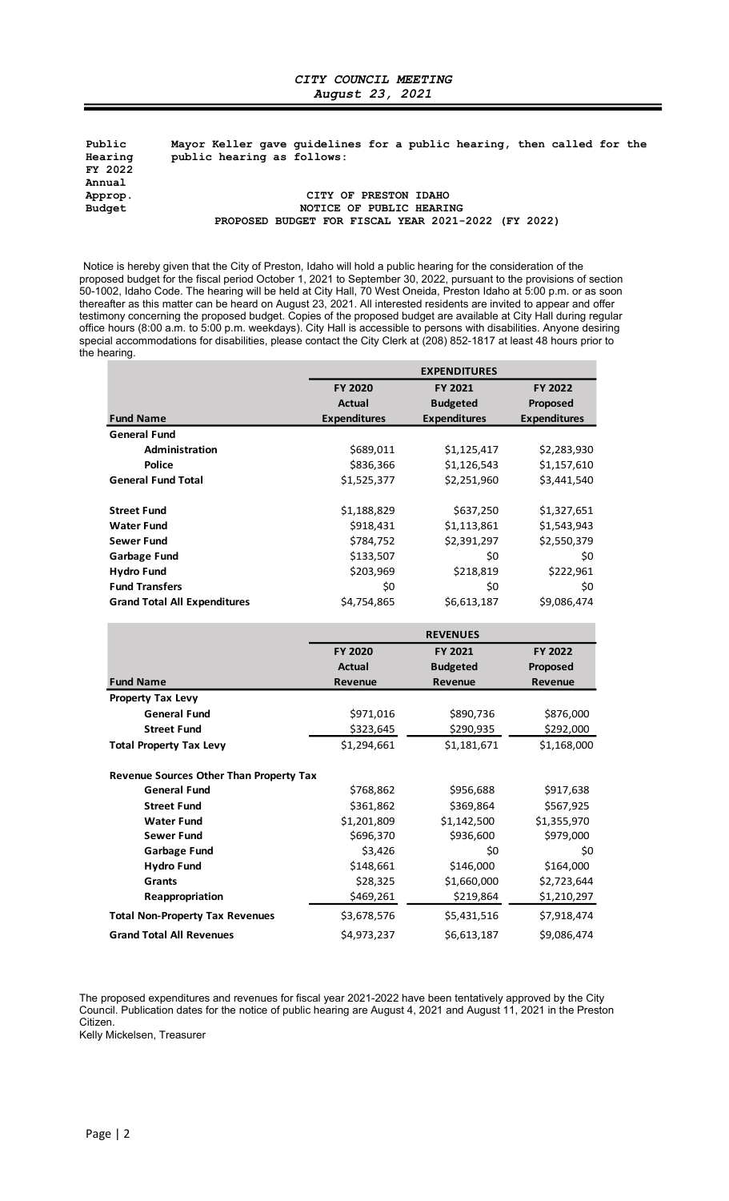## CITY COUNCIL MEETING August 23, 2021

Public Mayor Keller gave guidelines for a public hearing, then called for the public hearing as follows: FY 2022 Annual<br>Approp. Approp. CITY OF PRESTON IDAHO NOTICE OF PUBLIC HEARING PROPOSED BUDGET FOR FISCAL YEAR 2021-2022 (FY 2022) **Fig. 2021**<br> **FACT ATTLE AND ACTE AND ACTE AND ACTLAB AND SET SERVIDED SET SERVIDED EXECUTE AND ACTE AND ACTE AND ACTE AND ACTE AND ACTE AND ACTE AND ACTE AND ACTE AND ACTE AND ACTE AND THAN 70 West Order and offer the pr** 

| 2022<br>ual                                                                                                                                                                                                                                                                                                                                                                                                                                                                                                                                                                                                                                                                                       |                          |                                                     |                     |
|---------------------------------------------------------------------------------------------------------------------------------------------------------------------------------------------------------------------------------------------------------------------------------------------------------------------------------------------------------------------------------------------------------------------------------------------------------------------------------------------------------------------------------------------------------------------------------------------------------------------------------------------------------------------------------------------------|--------------------------|-----------------------------------------------------|---------------------|
| rop.                                                                                                                                                                                                                                                                                                                                                                                                                                                                                                                                                                                                                                                                                              | CITY OF PRESTON IDAHO    |                                                     |                     |
| lget                                                                                                                                                                                                                                                                                                                                                                                                                                                                                                                                                                                                                                                                                              | NOTICE OF PUBLIC HEARING |                                                     |                     |
|                                                                                                                                                                                                                                                                                                                                                                                                                                                                                                                                                                                                                                                                                                   |                          | PROPOSED BUDGET FOR FISCAL YEAR 2021-2022 (FY 2022) |                     |
| ce is hereby given that the City of Preston, Idaho will hold a public hearing for the consideration of the<br>osed budget for the fiscal period October 1, 2021 to September 30, 2022, pursuant to the provisions of section<br>002, Idaho Code. The hearing will be held at City Hall, 70 West Oneida, Preston Idaho at 5:00 p.m. or as soon<br>after as this matter can be heard on August 23, 2021. All interested residents are invited to appear and offer<br>nony concerning the proposed budget. Copies of the proposed budget are available at City Hall during regular<br>hours (8:00 a.m. to 5:00 p.m. weekdays). City Hall is accessible to persons with disabilities. Anyone desiring |                          |                                                     |                     |
| al accommodations for disabilities, please contact the City Clerk at (208) 852-1817 at least 48 hours prior to<br>earing.                                                                                                                                                                                                                                                                                                                                                                                                                                                                                                                                                                         |                          |                                                     |                     |
|                                                                                                                                                                                                                                                                                                                                                                                                                                                                                                                                                                                                                                                                                                   |                          | <b>EXPENDITURES</b>                                 |                     |
|                                                                                                                                                                                                                                                                                                                                                                                                                                                                                                                                                                                                                                                                                                   | FY 2020                  | FY 2021                                             | FY 2022             |
|                                                                                                                                                                                                                                                                                                                                                                                                                                                                                                                                                                                                                                                                                                   | Actual                   | <b>Budgeted</b>                                     | Proposed            |
| <b>Fund Name</b>                                                                                                                                                                                                                                                                                                                                                                                                                                                                                                                                                                                                                                                                                  | <b>Expenditures</b>      | <b>Expenditures</b>                                 | <b>Expenditures</b> |
| <b>General Fund</b>                                                                                                                                                                                                                                                                                                                                                                                                                                                                                                                                                                                                                                                                               |                          |                                                     |                     |
| Administration                                                                                                                                                                                                                                                                                                                                                                                                                                                                                                                                                                                                                                                                                    | \$689,011                | \$1,125,417                                         | \$2,283,930         |
| <b>Police</b>                                                                                                                                                                                                                                                                                                                                                                                                                                                                                                                                                                                                                                                                                     | \$836,366                | \$1,126,543                                         | \$1,157,610         |
| <b>General Fund Total</b>                                                                                                                                                                                                                                                                                                                                                                                                                                                                                                                                                                                                                                                                         | \$1,525,377              | \$2,251,960                                         | \$3,441,540         |
| <b>Street Fund</b>                                                                                                                                                                                                                                                                                                                                                                                                                                                                                                                                                                                                                                                                                | \$1,188,829              | \$637,250                                           | \$1,327,651         |
| <b>Water Fund</b>                                                                                                                                                                                                                                                                                                                                                                                                                                                                                                                                                                                                                                                                                 | \$918,431                | \$1,113,861                                         | \$1,543,943         |
| <b>Sewer Fund</b>                                                                                                                                                                                                                                                                                                                                                                                                                                                                                                                                                                                                                                                                                 | \$784,752                | \$2,391,297                                         | \$2,550,379         |
| <b>Garbage Fund</b>                                                                                                                                                                                                                                                                                                                                                                                                                                                                                                                                                                                                                                                                               | \$133,507                | \$0                                                 | \$0                 |
| <b>Hydro Fund</b>                                                                                                                                                                                                                                                                                                                                                                                                                                                                                                                                                                                                                                                                                 | \$203,969                | \$218,819                                           | \$222,961           |
| <b>Fund Transfers</b>                                                                                                                                                                                                                                                                                                                                                                                                                                                                                                                                                                                                                                                                             | \$0                      | \$0                                                 | \$0                 |
| <b>Grand Total All Expenditures</b>                                                                                                                                                                                                                                                                                                                                                                                                                                                                                                                                                                                                                                                               | \$4,754,865              | \$6,613,187                                         | \$9,086,474         |
|                                                                                                                                                                                                                                                                                                                                                                                                                                                                                                                                                                                                                                                                                                   |                          | <b>REVENUES</b>                                     |                     |
|                                                                                                                                                                                                                                                                                                                                                                                                                                                                                                                                                                                                                                                                                                   | FY 2020                  | FY 2021                                             | FY 2022             |
|                                                                                                                                                                                                                                                                                                                                                                                                                                                                                                                                                                                                                                                                                                   | <b>Actual</b>            | <b>Budgeted</b>                                     | Proposed            |
| <b>Fund Name</b>                                                                                                                                                                                                                                                                                                                                                                                                                                                                                                                                                                                                                                                                                  | Revenue                  | Revenue                                             | Revenue             |
| <b>Property Tax Levy</b>                                                                                                                                                                                                                                                                                                                                                                                                                                                                                                                                                                                                                                                                          |                          |                                                     |                     |
| <b>General Fund</b>                                                                                                                                                                                                                                                                                                                                                                                                                                                                                                                                                                                                                                                                               | \$971,016                | \$890,736                                           | \$876,000           |
| <b>Street Fund</b>                                                                                                                                                                                                                                                                                                                                                                                                                                                                                                                                                                                                                                                                                | \$323,645                | \$290,935                                           | \$292,000           |
| <b>Total Property Tax Levy</b>                                                                                                                                                                                                                                                                                                                                                                                                                                                                                                                                                                                                                                                                    | \$1,294,661              | \$1,181,671                                         | \$1,168,000         |
| Revenue Sources Other Than Property Tax                                                                                                                                                                                                                                                                                                                                                                                                                                                                                                                                                                                                                                                           |                          |                                                     |                     |
| <b>General Fund</b>                                                                                                                                                                                                                                                                                                                                                                                                                                                                                                                                                                                                                                                                               | \$768,862                | \$956,688                                           | \$917,638           |
| <b>Street Fund</b>                                                                                                                                                                                                                                                                                                                                                                                                                                                                                                                                                                                                                                                                                | \$361,862                | \$369,864                                           | \$567,925           |
| <b>Water Fund</b>                                                                                                                                                                                                                                                                                                                                                                                                                                                                                                                                                                                                                                                                                 | \$1,201,809              | \$1,142,500                                         | \$1,355,970         |
| <b>Sewer Fund</b>                                                                                                                                                                                                                                                                                                                                                                                                                                                                                                                                                                                                                                                                                 | \$696,370                | \$936,600                                           | \$979,000           |
| <b>Garbage Fund</b>                                                                                                                                                                                                                                                                                                                                                                                                                                                                                                                                                                                                                                                                               | \$3,426                  | \$0                                                 | \$0                 |
| <b>Hydro Fund</b>                                                                                                                                                                                                                                                                                                                                                                                                                                                                                                                                                                                                                                                                                 | \$148,661                | \$146,000                                           | \$164,000           |
| Grants                                                                                                                                                                                                                                                                                                                                                                                                                                                                                                                                                                                                                                                                                            | \$28,325                 | \$1,660,000                                         | \$2,723,644         |
| Reappropriation                                                                                                                                                                                                                                                                                                                                                                                                                                                                                                                                                                                                                                                                                   | \$469,261                | \$219,864                                           | \$1,210,297         |
| <b>Total Non-Property Tax Revenues</b>                                                                                                                                                                                                                                                                                                                                                                                                                                                                                                                                                                                                                                                            | \$3,678,576              | \$5,431,516                                         | \$7,918,474         |
|                                                                                                                                                                                                                                                                                                                                                                                                                                                                                                                                                                                                                                                                                                   | \$4,973,237              | \$6,613,187                                         | \$9,086,474         |
| <b>Grand Total All Revenues</b>                                                                                                                                                                                                                                                                                                                                                                                                                                                                                                                                                                                                                                                                   |                          |                                                     |                     |

The proposed expenditures and revenues for fiscal year 2021-2022 have been tentatively approved by the City Council. Publication dates for the notice of public hearing are August 4, 2021 and August 11, 2021 in the Preston Citizen.

Kelly Mickelsen, Treasurer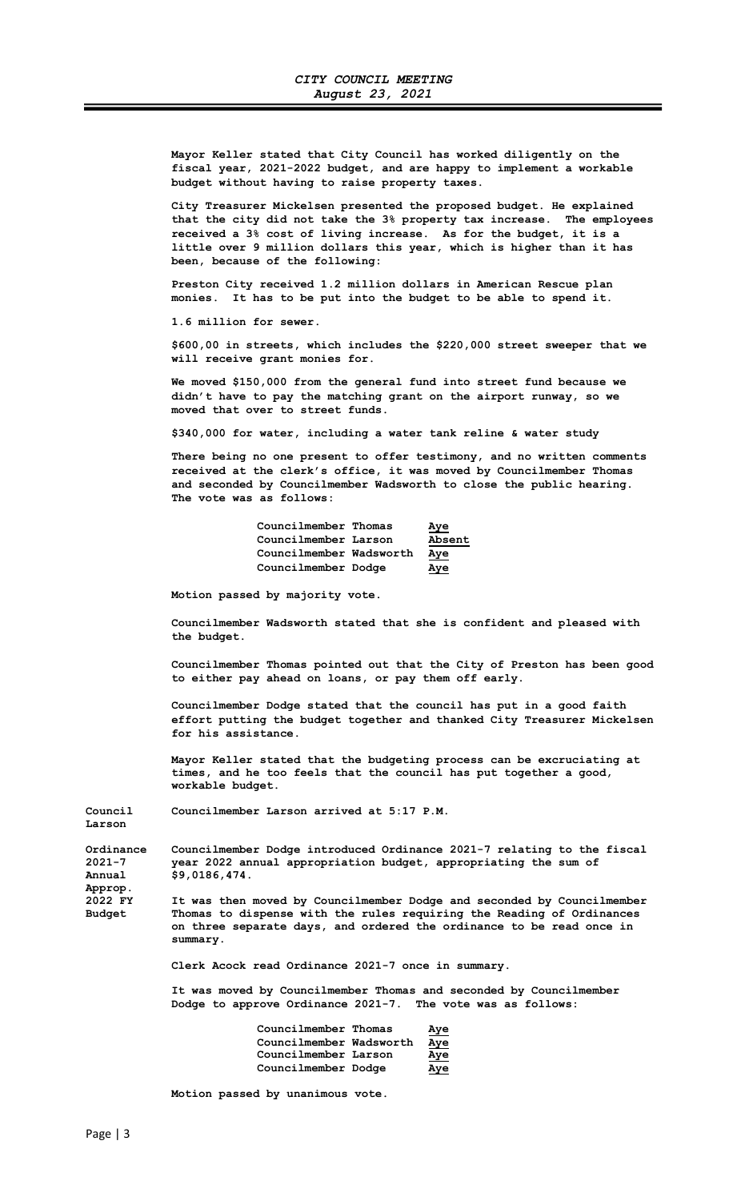Mayor Keller stated that City Council has worked diligently on the fiscal year, 2021-2022 budget, and are happy to implement a workable budget without having to raise property taxes.

City Treasurer Mickelsen presented the proposed budget. He explained that the city did not take the 3% property tax increase. The employees received a 3% cost of living increase. As for the budget, it is a little over 9 million dollars this year, which is higher than it has been, because of the following:

Preston City received 1.2 million dollars in American Rescue plan monies. It has to be put into the budget to be able to spend it.

1.6 million for sewer.

\$600,00 in streets, which includes the \$220,000 street sweeper that we will receive grant monies for.

We moved \$150,000 from the general fund into street fund because we didn't have to pay the matching grant on the airport runway, so we moved that over to street funds.

\$340,000 for water, including a water tank reline & water study

There being no one present to offer testimony, and no written comments received at the clerk's office, it was moved by Councilmember Thomas and seconded by Councilmember Wadsworth to close the public hearing. The vote was as follows:

| Councilmember Thomas    | Aye    |
|-------------------------|--------|
| Councilmember Larson    | Absent |
| Councilmember Wadsworth | Aye    |
| Councilmember Dodge     | Aye    |

Motion passed by majority vote.

Councilmember Wadsworth stated that she is confident and pleased with the budget.

Councilmember Thomas pointed out that the City of Preston has been good to either pay ahead on loans, or pay them off early.

Councilmember Dodge stated that the council has put in a good faith effort putting the budget together and thanked City Treasurer Mickelsen for his assistance.

Mayor Keller stated that the budgeting process can be excruciating at times, and he too feels that the council has put together a good, workable budget.

Council Councilmember Larson arrived at 5:17 P.M.

Approp.<br>2022 FY

Larson

Ordinance Councilmember Dodge introduced Ordinance 2021-7 relating to the fiscal<br>2021-7 vear 2022 annual appropriation budget, appropriating the sum of year 2022 annual appropriation budget, appropriating the sum of Annual  $$9,0186,474.$ 

2022 FY It was then moved by Councilmember Dodge and seconded by Councilmember<br>Budget Thomas to dispense with the rules requiring the Reading of Ordinances Thomas to dispense with the rules requiring the Reading of Ordinances on three separate days, and ordered the ordinance to be read once in summary.

Clerk Acock read Ordinance 2021-7 once in summary.

 It was moved by Councilmember Thomas and seconded by Councilmember Dodge to approve Ordinance 2021-7. The vote was as follows:

| Councilmember Thomas    | <u>Aye</u> |
|-------------------------|------------|
| Councilmember Wadsworth | <u>Aye</u> |
| Councilmember Larson    | <u>Aye</u> |
| Councilmember Dodge     | Aye        |

Motion passed by unanimous vote.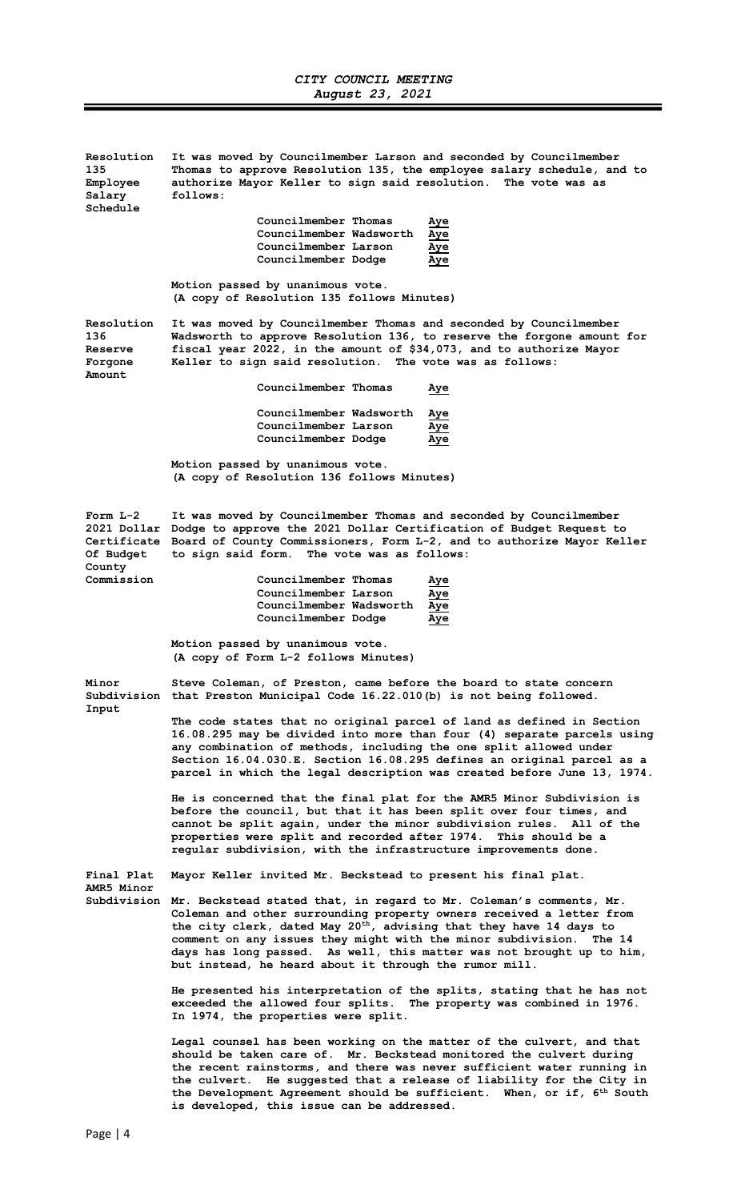| Resolution<br>135<br>Employee<br>Salary           | It was moved by Councilmember Larson and seconded by Councilmember<br>Thomas to approve Resolution 135, the employee salary schedule, and to<br>authorize Mayor Keller to sign said resolution. The vote was as<br>follows:                                                                                                                                                                                                                             |  |  |
|---------------------------------------------------|---------------------------------------------------------------------------------------------------------------------------------------------------------------------------------------------------------------------------------------------------------------------------------------------------------------------------------------------------------------------------------------------------------------------------------------------------------|--|--|
| Schedule                                          |                                                                                                                                                                                                                                                                                                                                                                                                                                                         |  |  |
|                                                   | Councilmember Thomas<br>Aye<br>Councilmember Wadsworth<br>Aye                                                                                                                                                                                                                                                                                                                                                                                           |  |  |
|                                                   | Councilmember Larson<br>Aye                                                                                                                                                                                                                                                                                                                                                                                                                             |  |  |
|                                                   | Councilmember Dodge<br>Aye                                                                                                                                                                                                                                                                                                                                                                                                                              |  |  |
|                                                   | Motion passed by unanimous vote.<br>(A copy of Resolution 135 follows Minutes)                                                                                                                                                                                                                                                                                                                                                                          |  |  |
| Resolution<br>136<br>Reserve<br>Forgone<br>Amount | It was moved by Councilmember Thomas and seconded by Councilmember<br>Wadsworth to approve Resolution 136, to reserve the forgone amount for<br>fiscal year 2022, in the amount of \$34,073, and to authorize Mayor<br>Keller to sign said resolution. The vote was as follows:                                                                                                                                                                         |  |  |
|                                                   | Councilmember Thomas<br><u>Aye</u>                                                                                                                                                                                                                                                                                                                                                                                                                      |  |  |
|                                                   | Councilmember Wadsworth<br>Aye                                                                                                                                                                                                                                                                                                                                                                                                                          |  |  |
|                                                   | Councilmember Larson<br>Aye<br>Councilmember Dodge<br>Aye                                                                                                                                                                                                                                                                                                                                                                                               |  |  |
|                                                   |                                                                                                                                                                                                                                                                                                                                                                                                                                                         |  |  |
|                                                   | Motion passed by unanimous vote.<br>(A copy of Resolution 136 follows Minutes)                                                                                                                                                                                                                                                                                                                                                                          |  |  |
| Form $L-2$<br>Of Budget<br>County                 | It was moved by Councilmember Thomas and seconded by Councilmember<br>2021 Dollar Dodge to approve the 2021 Dollar Certification of Budget Request to<br>Certificate Board of County Commissioners, Form L-2, and to authorize Mayor Keller<br>to sign said form. The vote was as follows:                                                                                                                                                              |  |  |
| Commission                                        | Councilmember Thomas<br>Aye                                                                                                                                                                                                                                                                                                                                                                                                                             |  |  |
|                                                   | Councilmember Larson<br>Aye                                                                                                                                                                                                                                                                                                                                                                                                                             |  |  |
|                                                   | Councilmember Wadsworth<br>Aye<br>Councilmember Dodge<br>Aye                                                                                                                                                                                                                                                                                                                                                                                            |  |  |
|                                                   | Motion passed by unanimous vote.<br>(A copy of Form L-2 follows Minutes)                                                                                                                                                                                                                                                                                                                                                                                |  |  |
| Minor<br>Input                                    | Steve Coleman, of Preston, came before the board to state concern<br>Subdivision that Preston Municipal Code 16.22.010(b) is not being followed.                                                                                                                                                                                                                                                                                                        |  |  |
|                                                   | The code states that no original parcel of land as defined in Section<br>16.08.295 may be divided into more than four (4) separate parcels using<br>any combination of methods, including the one split allowed under<br>Section 16.04.030.E. Section 16.08.295 defines an original parcel as a<br>parcel in which the legal description was created before June 13, 1974.                                                                              |  |  |
|                                                   | He is concerned that the final plat for the AMR5 Minor Subdivision is<br>before the council, but that it has been split over four times, and<br>cannot be split again, under the minor subdivision rules. All of the<br>properties were split and recorded after 1974. This should be a<br>regular subdivision, with the infrastructure improvements done.                                                                                              |  |  |
| Final Plat<br>AMR5 Minor                          | Mayor Keller invited Mr. Beckstead to present his final plat.                                                                                                                                                                                                                                                                                                                                                                                           |  |  |
|                                                   | Subdivision Mr. Beckstead stated that, in regard to Mr. Coleman's comments, Mr.<br>Coleman and other surrounding property owners received a letter from<br>the city clerk, dated May 20 <sup>th</sup> , advising that they have 14 days to<br>comment on any issues they might with the minor subdivision.<br>The 14<br>days has long passed. As well, this matter was not brought up to him,<br>but instead, he heard about it through the rumor mill. |  |  |
|                                                   | He presented his interpretation of the splits, stating that he has not<br>exceeded the allowed four splits. The property was combined in 1976.<br>In 1974, the properties were split.                                                                                                                                                                                                                                                                   |  |  |
|                                                   | Legal counsel has been working on the matter of the culvert, and that<br>should be taken care of. Mr. Beckstead monitored the culvert during<br>the recent rainstorms, and there was never sufficient water running in<br>the culvert. He suggested that a release of liability for the City in<br>the Development Agreement should be sufficient. When, or if, 6 <sup>th</sup> South                                                                   |  |  |

is developed, this issue can be addressed.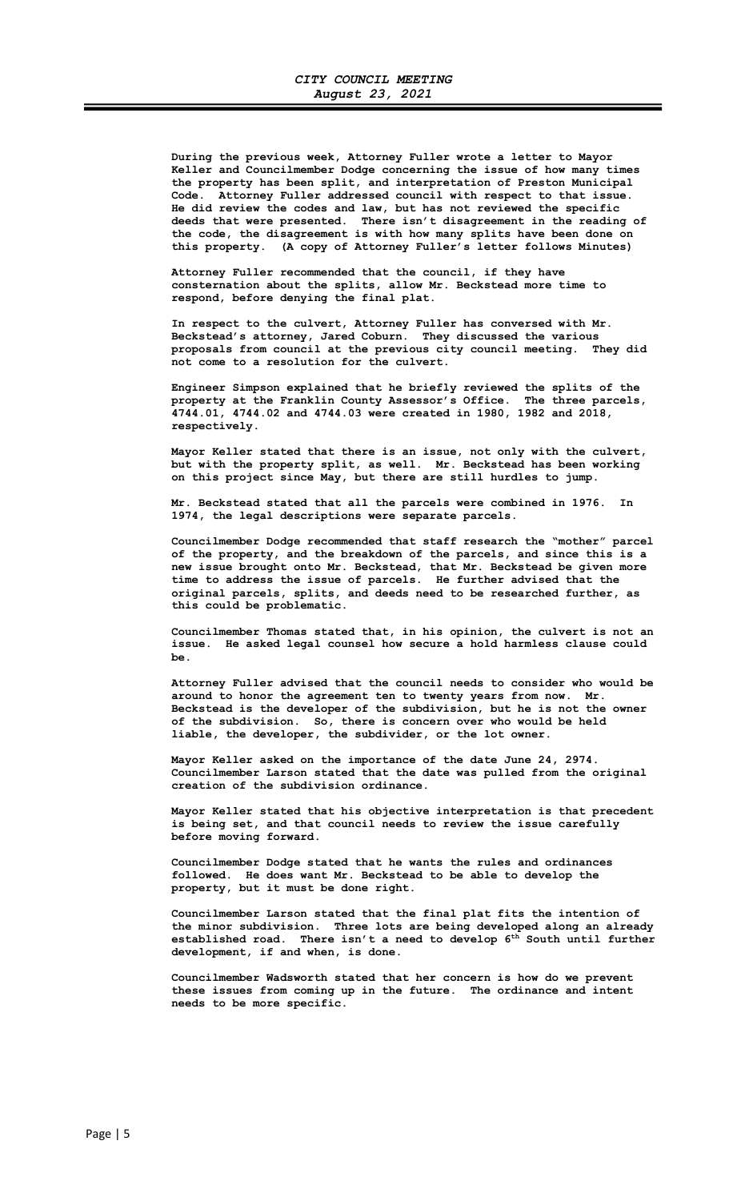During the previous week, Attorney Fuller wrote a letter to Mayor Keller and Councilmember Dodge concerning the issue of how many times the property has been split, and interpretation of Preston Municipal Code. Attorney Fuller addressed council with respect to that issue. He did review the codes and law, but has not reviewed the specific deeds that were presented. There isn't disagreement in the reading of the code, the disagreement is with how many splits have been done on this property. (A copy of Attorney Fuller's letter follows Minutes)

 Attorney Fuller recommended that the council, if they have consternation about the splits, allow Mr. Beckstead more time to respond, before denying the final plat.

 In respect to the culvert, Attorney Fuller has conversed with Mr. Beckstead's attorney, Jared Coburn. They discussed the various proposals from council at the previous city council meeting. They did not come to a resolution for the culvert.

 Engineer Simpson explained that he briefly reviewed the splits of the property at the Franklin County Assessor's Office. The three parcels, 4744.01, 4744.02 and 4744.03 were created in 1980, 1982 and 2018, respectively.

 Mayor Keller stated that there is an issue, not only with the culvert, but with the property split, as well. Mr. Beckstead has been working on this project since May, but there are still hurdles to jump.

 Mr. Beckstead stated that all the parcels were combined in 1976. In 1974, the legal descriptions were separate parcels.

 Councilmember Dodge recommended that staff research the "mother" parcel of the property, and the breakdown of the parcels, and since this is a new issue brought onto Mr. Beckstead, that Mr. Beckstead be given more time to address the issue of parcels. He further advised that the original parcels, splits, and deeds need to be researched further, as this could be problematic.

 Councilmember Thomas stated that, in his opinion, the culvert is not an issue. He asked legal counsel how secure a hold harmless clause could be.

 Attorney Fuller advised that the council needs to consider who would be around to honor the agreement ten to twenty years from now. Mr. Beckstead is the developer of the subdivision, but he is not the owner of the subdivision. So, there is concern over who would be held liable, the developer, the subdivider, or the lot owner.

 Mayor Keller asked on the importance of the date June 24, 2974. Councilmember Larson stated that the date was pulled from the original creation of the subdivision ordinance.

 Mayor Keller stated that his objective interpretation is that precedent is being set, and that council needs to review the issue carefully before moving forward.

 Councilmember Dodge stated that he wants the rules and ordinances followed. He does want Mr. Beckstead to be able to develop the property, but it must be done right.

 Councilmember Larson stated that the final plat fits the intention of the minor subdivision. Three lots are being developed along an already established road. There isn't a need to develop  $6^{\text{th}}$  South until further development, if and when, is done.

 Councilmember Wadsworth stated that her concern is how do we prevent these issues from coming up in the future. The ordinance and intent needs to be more specific.